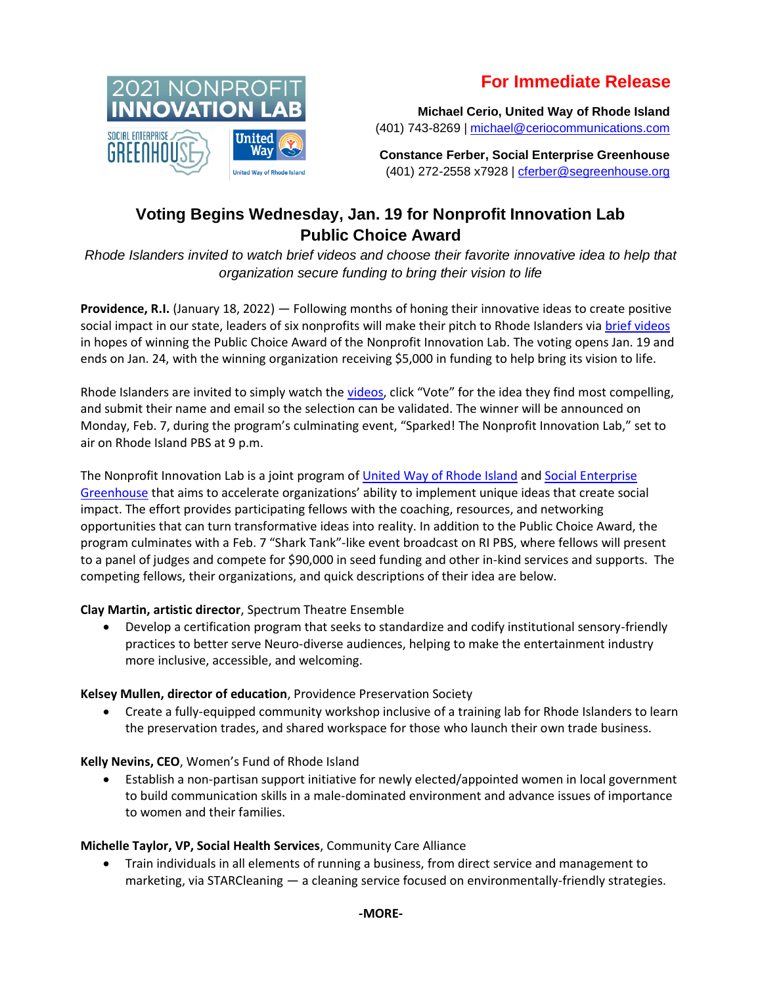# **For Immediate Release**



**Michael Cerio, United Way of Rhode Island** (401) 743-8269 | [michael@ceriocommunications.com](mailto:michael@ceriocommunications.com)

**Constance Ferber, Social Enterprise Greenhouse** (401) 272-2558 x7928 | [cferber@segreenhouse.org](mailto:cferber@segreenhouse.org)

# **Voting Begins Wednesday, Jan. 19 for Nonprofit Innovation Lab Public Choice Award**

*Rhode Islanders invited to watch brief videos and choose their favorite innovative idea to help that organization secure funding to bring their vision to life*

**Providence, R.I.** (January 18, 2022) — Following months of honing their innovative ideas to create positive social impact in our state, leaders of six nonprofits will make their pitch to Rhode Islanders via [brief videos](https://bit.ly/2021NPILvote) in hopes of winning the Public Choice Award of the Nonprofit Innovation Lab. The voting opens Jan. 19 and ends on Jan. 24, with the winning organization receiving \$5,000 in funding to help bring its vision to life.

Rhode Islanders are invited to simply watch the [videos](https://bit.ly/2021NPILvote), click "Vote" for the idea they find most compelling, and submit their name and email so the selection can be validated. The winner will be announced on Monday, Feb. 7, during the program's culminating event, "Sparked! The Nonprofit Innovation Lab," set to air on Rhode Island PBS at 9 p.m.

The Nonprofit Innovation Lab is a joint program of [United Way of Rhode Island](https://www.unitedwayri.org/) and [Social Enterprise](http://www.segreenhouse.org/)  [Greenhouse](http://www.segreenhouse.org/) that aims to accelerate organizations' ability to implement unique ideas that create social impact. The effort provides participating fellows with the coaching, resources, and networking opportunities that can turn transformative ideas into reality. In addition to the Public Choice Award, the program culminates with a Feb. 7 "Shark Tank"-like event broadcast on RI PBS, where fellows will present to a panel of judges and compete for \$90,000 in seed funding and other in-kind services and supports. The competing fellows, their organizations, and quick descriptions of their idea are below.

## **Clay Martin, artistic director**, Spectrum Theatre Ensemble

• Develop a certification program that seeks to standardize and codify institutional sensory-friendly practices to better serve Neuro-diverse audiences, helping to make the entertainment industry more inclusive, accessible, and welcoming.

### **Kelsey Mullen, director of education**, Providence Preservation Society

• Create a fully-equipped community workshop inclusive of a training lab for Rhode Islanders to learn the preservation trades, and shared workspace for those who launch their own trade business.

## **Kelly Nevins, CEO**, Women's Fund of Rhode Island

• Establish a non-partisan support initiative for newly elected/appointed women in local government to build communication skills in a male-dominated environment and advance issues of importance to women and their families.

## **Michelle Taylor, VP, Social Health Services**, Community Care Alliance

• Train individuals in all elements of running a business, from direct service and management to marketing, via STARCleaning — a cleaning service focused on environmentally-friendly strategies.